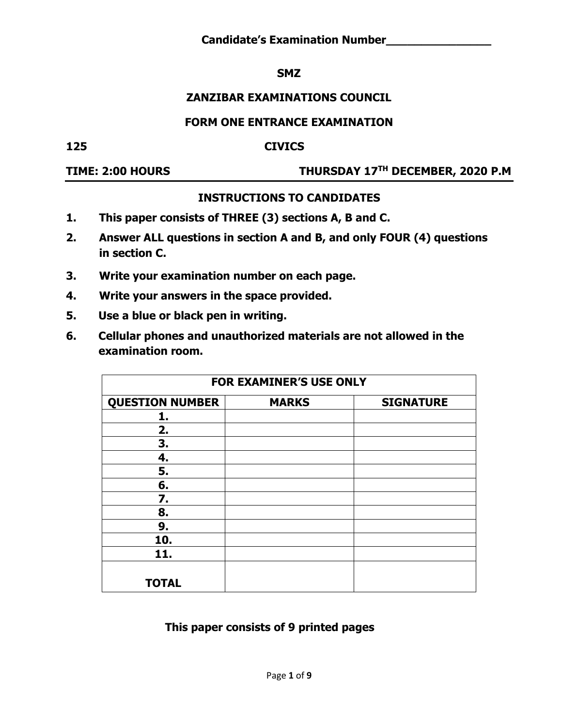**Candidate's Examination Number\_\_\_\_\_\_\_\_\_\_\_\_\_\_\_**

#### **SMZ**

### **ZANZIBAR EXAMINATIONS COUNCIL**

#### **FORM ONE ENTRANCE EXAMINATION**

**125 CIVICS**

#### **TIME: 2:00 HOURS THURSDAY 17TH DECEMBER, 2020 P.M**

#### **INSTRUCTIONS TO CANDIDATES**

- **1. This paper consists of THREE (3) sections A, B and C.**
- **2. Answer ALL questions in section A and B, and only FOUR (4) questions in section C.**
- **3. Write your examination number on each page.**
- **4. Write your answers in the space provided.**
- **5. Use a blue or black pen in writing.**
- **6. Cellular phones and unauthorized materials are not allowed in the examination room.**

|                        | <b>FOR EXAMINER'S USE ONLY</b> |                  |
|------------------------|--------------------------------|------------------|
| <b>QUESTION NUMBER</b> | <b>MARKS</b>                   | <b>SIGNATURE</b> |
| 1.                     |                                |                  |
| 2.                     |                                |                  |
| 3.                     |                                |                  |
| 4.                     |                                |                  |
| 5.                     |                                |                  |
| 6.                     |                                |                  |
| 7.                     |                                |                  |
| 8.                     |                                |                  |
| 9.                     |                                |                  |
| 10.                    |                                |                  |
| 11.                    |                                |                  |
| <b>TOTAL</b>           |                                |                  |

#### **This paper consists of 9 printed pages**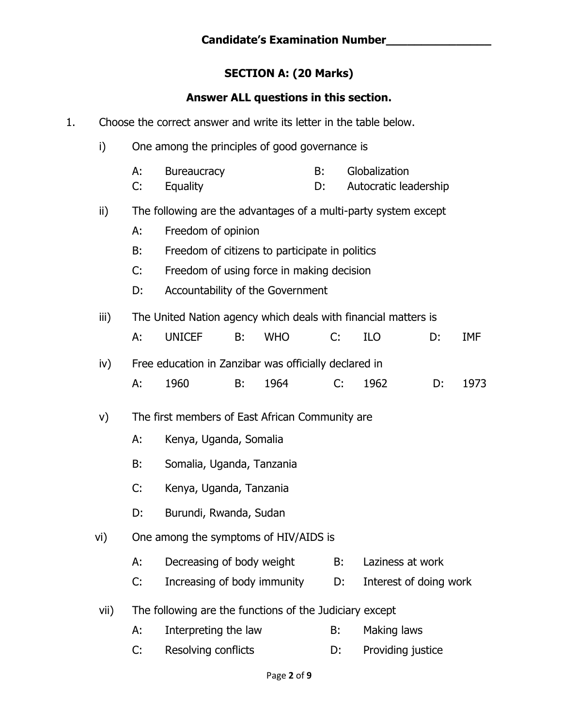# **SECTION A: (20 Marks)**

# **Answer ALL questions in this section.**

| 1. |      |          | Choose the correct answer and write its letter in the table below. |    |            |          |    |                                        |    |            |
|----|------|----------|--------------------------------------------------------------------|----|------------|----------|----|----------------------------------------|----|------------|
|    | i)   |          | One among the principles of good governance is                     |    |            |          |    |                                        |    |            |
|    |      | А:<br>C: | <b>Bureaucracy</b><br>Equality                                     |    |            | B:<br>D: |    | Globalization<br>Autocratic leadership |    |            |
|    | ii)  |          | The following are the advantages of a multi-party system except    |    |            |          |    |                                        |    |            |
|    |      | А:       | Freedom of opinion                                                 |    |            |          |    |                                        |    |            |
|    |      | B:       | Freedom of citizens to participate in politics                     |    |            |          |    |                                        |    |            |
|    |      | C:       | Freedom of using force in making decision                          |    |            |          |    |                                        |    |            |
|    |      | D:       | Accountability of the Government                                   |    |            |          |    |                                        |    |            |
|    | iii) |          | The United Nation agency which deals with financial matters is     |    |            |          |    |                                        |    |            |
|    |      | А:       | <b>UNICEF</b>                                                      | B: | <b>WHO</b> | C:       |    | <b>ILO</b>                             | D: | <b>IMF</b> |
|    | iv)  |          | Free education in Zanzibar was officially declared in              |    |            |          |    |                                        |    |            |
|    |      | А:       | 1960                                                               | B: | 1964       |          | C: | 1962                                   | D: | 1973       |
|    | V)   |          | The first members of East African Community are                    |    |            |          |    |                                        |    |            |
|    |      | А:       | Kenya, Uganda, Somalia                                             |    |            |          |    |                                        |    |            |
|    |      | B:       | Somalia, Uganda, Tanzania                                          |    |            |          |    |                                        |    |            |
|    |      | C:       | Kenya, Uganda, Tanzania                                            |    |            |          |    |                                        |    |            |
|    |      | D:       | Burundi, Rwanda, Sudan                                             |    |            |          |    |                                        |    |            |
|    | vi)  |          | One among the symptoms of HIV/AIDS is                              |    |            |          |    |                                        |    |            |
|    |      | А:       | Decreasing of body weight                                          |    |            |          | B: | Laziness at work                       |    |            |
|    |      | C:       | Increasing of body immunity                                        |    |            |          | D: | Interest of doing work                 |    |            |
|    | vii) |          | The following are the functions of the Judiciary except            |    |            |          |    |                                        |    |            |
|    |      | А:       | Interpreting the law                                               |    |            | B:       |    | Making laws                            |    |            |
|    |      | C:       | Resolving conflicts                                                |    |            | D:       |    | Providing justice                      |    |            |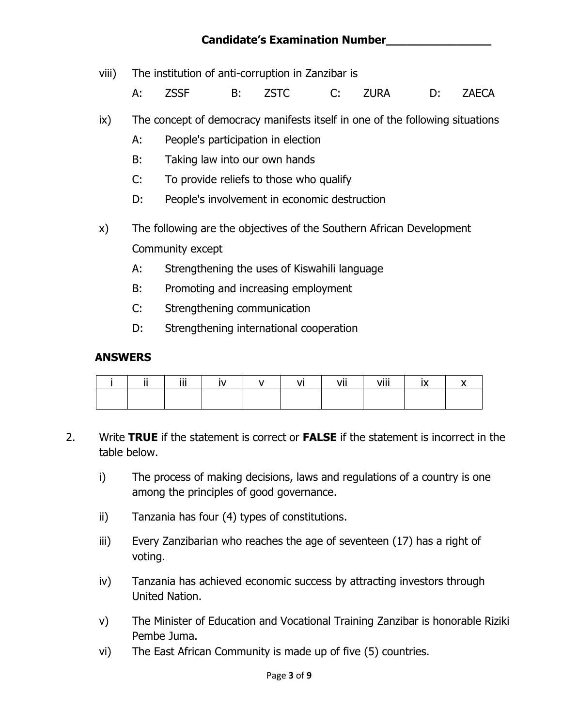## **Candidate's Examination Number\_\_\_\_\_\_\_\_\_\_\_\_\_\_\_**

viii) The institution of anti-corruption in Zanzibar is

A: ZSSF B: ZSTC C: ZURA D: ZAECA

- ix) The concept of democracy manifests itself in one of the following situations
	- A: People's participation in election
	- B: Taking law into our own hands
	- C: To provide reliefs to those who qualify
	- D: People's involvement in economic destruction
- x) The following are the objectives of the Southern African Development Community except
	- A: Strengthening the uses of Kiswahili language
	- B: Promoting and increasing employment
	- C: Strengthening communication
	- D: Strengthening international cooperation

#### **ANSWERS**

|  | $\cdots$<br>ш<br> | $\mathsf{N}$ |  | vii | viii |  |
|--|-------------------|--------------|--|-----|------|--|
|  |                   |              |  |     |      |  |

- 2. Write **TRUE** if the statement is correct or **FALSE** if the statement is incorrect in the table below.
	- i) The process of making decisions, laws and regulations of a country is one among the principles of good governance.
	- ii) Tanzania has four (4) types of constitutions.
	- iii) Every Zanzibarian who reaches the age of seventeen (17) has a right of voting.
	- iv) Tanzania has achieved economic success by attracting investors through United Nation.
	- v) The Minister of Education and Vocational Training Zanzibar is honorable Riziki Pembe Juma.
	- vi) The East African Community is made up of five (5) countries.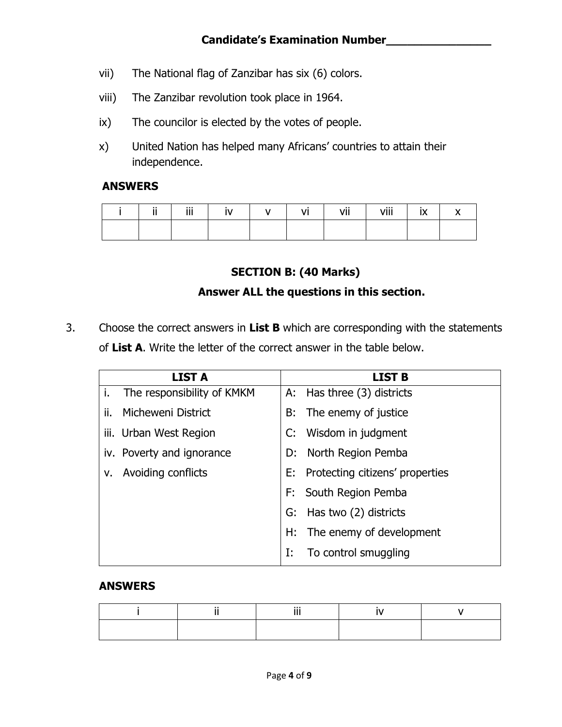- vii) The National flag of Zanzibar has six (6) colors.
- viii) The Zanzibar revolution took place in 1964.
- ix) The councilor is elected by the votes of people.
- x) United Nation has helped many Africans' countries to attain their independence.

#### **ANSWERS**

|  | iii |  | vii | viii | $\sim$ |  |
|--|-----|--|-----|------|--------|--|
|  |     |  |     |      |        |  |

## **SECTION B: (40 Marks)**

### **Answer ALL the questions in this section.**

3. Choose the correct answers in **List B** which are corresponding with the statements of **List A**. Write the letter of the correct answer in the table below.

|     | <b>LIST A</b>              |    | <b>LIST B</b>                      |
|-----|----------------------------|----|------------------------------------|
| i.  | The responsibility of KMKM |    | A: Has three (3) districts         |
| ii. | Micheweni District         |    | B: The enemy of justice            |
|     | iii. Urban West Region     |    | C: Wisdom in judgment              |
|     | iv. Poverty and ignorance  |    | D: North Region Pemba              |
| v.  | Avoiding conflicts         |    | E: Protecting citizens' properties |
|     |                            |    | F: South Region Pemba              |
|     |                            | G: | Has two (2) districts              |
|     |                            |    | H: The enemy of development        |
|     |                            | I: | To control smuggling               |

#### **ANSWERS**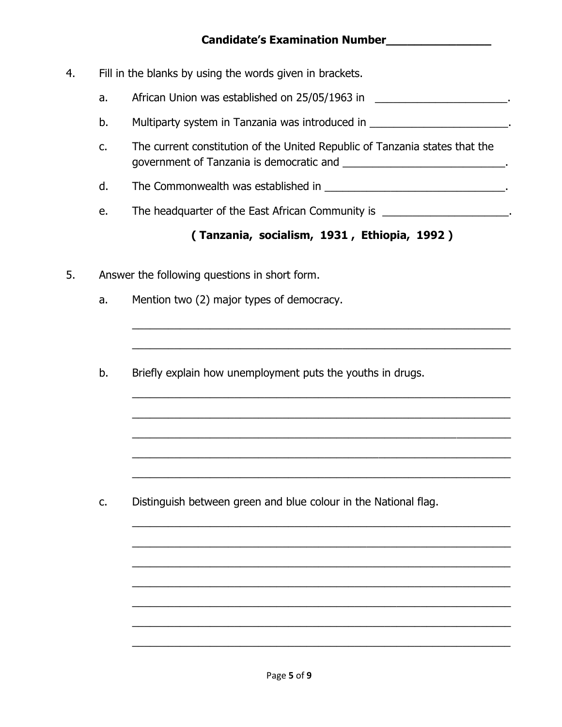- 4. Fill in the blanks by using the words given in brackets.
	- a. African Union was established on 25/05/1963 in \_\_\_\_\_\_\_\_\_\_\_\_\_\_\_\_\_\_\_\_\_\_\_\_.
	- b. Multiparty system in Tanzania was introduced in  $\blacksquare$
	- c. The current constitution of the United Republic of Tanzania states that the government of Tanzania is democratic and \_\_\_\_\_\_\_\_\_\_\_\_\_\_\_\_\_\_\_\_\_\_\_\_\_\_\_.
	- d. The Commonwealth was established in \_\_\_\_\_\_\_\_\_\_\_\_\_\_\_\_\_\_\_\_\_\_\_\_\_\_\_\_\_\_\_\_\_.
	- e. The headquarter of the East African Community is \_\_\_\_\_\_\_\_\_\_\_\_\_\_\_\_\_\_\_\_\_.

# **( Tanzania, socialism, 1931 , Ethiopia, 1992 )**

\_\_\_\_\_\_\_\_\_\_\_\_\_\_\_\_\_\_\_\_\_\_\_\_\_\_\_\_\_\_\_\_\_\_\_\_\_\_\_\_\_\_\_\_\_\_\_\_\_\_\_\_\_\_\_\_\_\_\_\_\_\_\_

\_\_\_\_\_\_\_\_\_\_\_\_\_\_\_\_\_\_\_\_\_\_\_\_\_\_\_\_\_\_\_\_\_\_\_\_\_\_\_\_\_\_\_\_\_\_\_\_\_\_\_\_\_\_\_\_\_\_\_\_\_\_\_

\_\_\_\_\_\_\_\_\_\_\_\_\_\_\_\_\_\_\_\_\_\_\_\_\_\_\_\_\_\_\_\_\_\_\_\_\_\_\_\_\_\_\_\_\_\_\_\_\_\_\_\_\_\_\_\_\_\_\_\_\_\_\_

\_\_\_\_\_\_\_\_\_\_\_\_\_\_\_\_\_\_\_\_\_\_\_\_\_\_\_\_\_\_\_\_\_\_\_\_\_\_\_\_\_\_\_\_\_\_\_\_\_\_\_\_\_\_\_\_\_\_\_\_\_\_\_

\_\_\_\_\_\_\_\_\_\_\_\_\_\_\_\_\_\_\_\_\_\_\_\_\_\_\_\_\_\_\_\_\_\_\_\_\_\_\_\_\_\_\_\_\_\_\_\_\_\_\_\_\_\_\_\_\_\_\_\_\_\_\_

\_\_\_\_\_\_\_\_\_\_\_\_\_\_\_\_\_\_\_\_\_\_\_\_\_\_\_\_\_\_\_\_\_\_\_\_\_\_\_\_\_\_\_\_\_\_\_\_\_\_\_\_\_\_\_\_\_\_\_\_\_\_\_

\_\_\_\_\_\_\_\_\_\_\_\_\_\_\_\_\_\_\_\_\_\_\_\_\_\_\_\_\_\_\_\_\_\_\_\_\_\_\_\_\_\_\_\_\_\_\_\_\_\_\_\_\_\_\_\_\_\_\_\_\_\_\_

\_\_\_\_\_\_\_\_\_\_\_\_\_\_\_\_\_\_\_\_\_\_\_\_\_\_\_\_\_\_\_\_\_\_\_\_\_\_\_\_\_\_\_\_\_\_\_\_\_\_\_\_\_\_\_\_\_\_\_\_\_\_\_

\_\_\_\_\_\_\_\_\_\_\_\_\_\_\_\_\_\_\_\_\_\_\_\_\_\_\_\_\_\_\_\_\_\_\_\_\_\_\_\_\_\_\_\_\_\_\_\_\_\_\_\_\_\_\_\_\_\_\_\_\_\_\_

\_\_\_\_\_\_\_\_\_\_\_\_\_\_\_\_\_\_\_\_\_\_\_\_\_\_\_\_\_\_\_\_\_\_\_\_\_\_\_\_\_\_\_\_\_\_\_\_\_\_\_\_\_\_\_\_\_\_\_\_\_\_\_

\_\_\_\_\_\_\_\_\_\_\_\_\_\_\_\_\_\_\_\_\_\_\_\_\_\_\_\_\_\_\_\_\_\_\_\_\_\_\_\_\_\_\_\_\_\_\_\_\_\_\_\_\_\_\_\_\_\_\_\_\_\_\_

\_\_\_\_\_\_\_\_\_\_\_\_\_\_\_\_\_\_\_\_\_\_\_\_\_\_\_\_\_\_\_\_\_\_\_\_\_\_\_\_\_\_\_\_\_\_\_\_\_\_\_\_\_\_\_\_\_\_\_\_\_\_\_

\_\_\_\_\_\_\_\_\_\_\_\_\_\_\_\_\_\_\_\_\_\_\_\_\_\_\_\_\_\_\_\_\_\_\_\_\_\_\_\_\_\_\_\_\_\_\_\_\_\_\_\_\_\_\_\_\_\_\_\_\_\_\_

\_\_\_\_\_\_\_\_\_\_\_\_\_\_\_\_\_\_\_\_\_\_\_\_\_\_\_\_\_\_\_\_\_\_\_\_\_\_\_\_\_\_\_\_\_\_\_\_\_\_\_\_\_\_\_\_\_\_\_\_\_\_\_

- 5. Answer the following questions in short form.
	- a. Mention two (2) major types of democracy.
	- b. Briefly explain how unemployment puts the youths in drugs.

c. Distinguish between green and blue colour in the National flag.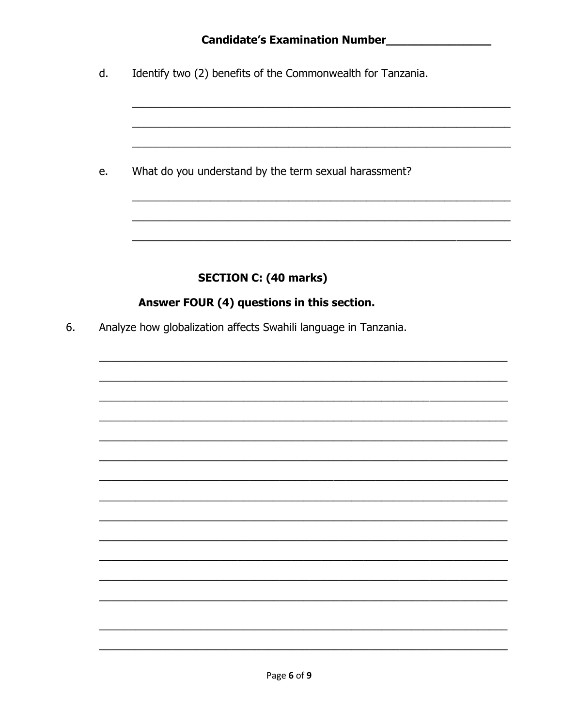# Candidate's Examination Number

Identify two (2) benefits of the Commonwealth for Tanzania. d.

What do you understand by the term sexual harassment? e.

# **SECTION C: (40 marks)**

## Answer FOUR (4) questions in this section.

Analyze how globalization affects Swahili language in Tanzania. 6.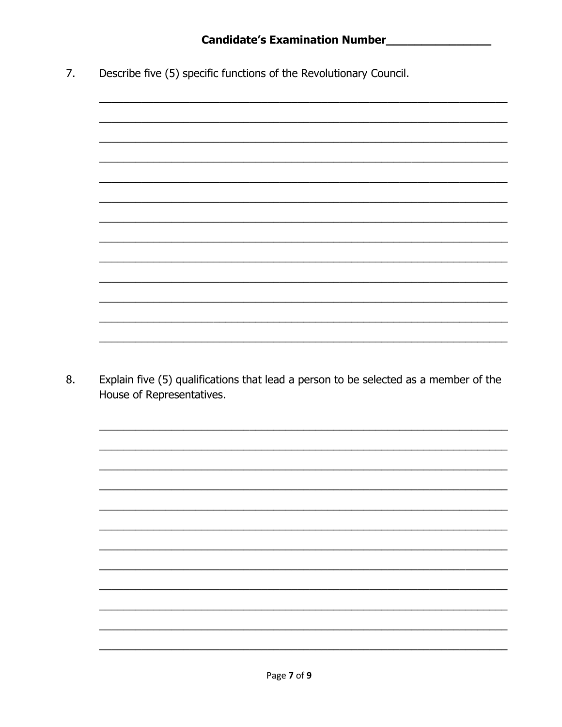Describe five (5) specific functions of the Revolutionary Council.  $7.$ 



8. Explain five (5) qualifications that lead a person to be selected as a member of the House of Representatives.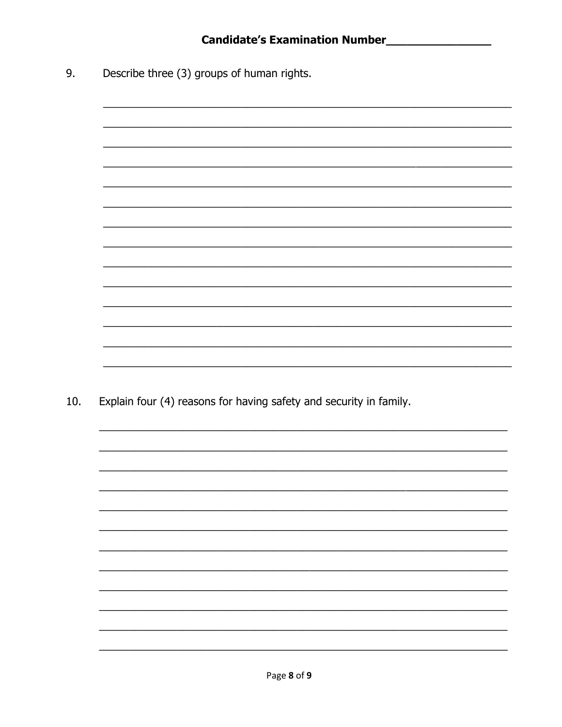Describe three (3) groups of human rights. 9.

 $10.$ 

| Explain four (4) reasons for having safety and security in family. |
|--------------------------------------------------------------------|
|                                                                    |
|                                                                    |
|                                                                    |
|                                                                    |
|                                                                    |
|                                                                    |
|                                                                    |
|                                                                    |
|                                                                    |
|                                                                    |
|                                                                    |
|                                                                    |
|                                                                    |
|                                                                    |
|                                                                    |
|                                                                    |
|                                                                    |
|                                                                    |
|                                                                    |
|                                                                    |
|                                                                    |
|                                                                    |
|                                                                    |
|                                                                    |
|                                                                    |
|                                                                    |
|                                                                    |
|                                                                    |
|                                                                    |
|                                                                    |
|                                                                    |
|                                                                    |
|                                                                    |
|                                                                    |
|                                                                    |
|                                                                    |
|                                                                    |
|                                                                    |
|                                                                    |